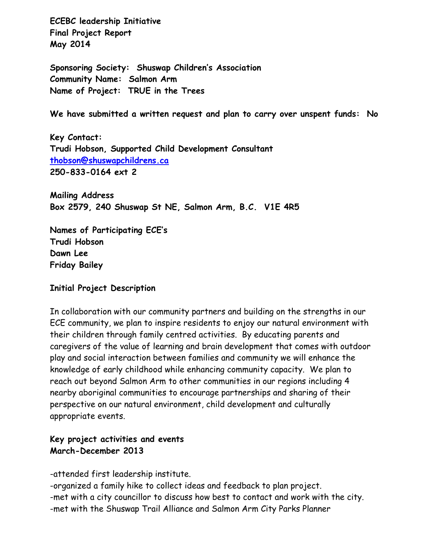**ECEBC leadership Initiative Final Project Report May 2014**

**Sponsoring Society: Shuswap Children's Association Community Name: Salmon Arm Name of Project: TRUE in the Trees**

**We have submitted a written request and plan to carry over unspent funds: No**

**Key Contact: Trudi Hobson, Supported Child Development Consultant [thobson@shuswapchildrens.ca](mailto:thobson@shuswapchildrens.ca) 250-833-0164 ext 2**

**Mailing Address Box 2579, 240 Shuswap St NE, Salmon Arm, B.C. V1E 4R5**

**Names of Participating ECE's Trudi Hobson Dawn Lee Friday Bailey**

### **Initial Project Description**

In collaboration with our community partners and building on the strengths in our ECE community, we plan to inspire residents to enjoy our natural environment with their children through family centred activities. By educating parents and caregivers of the value of learning and brain development that comes with outdoor play and social interaction between families and community we will enhance the knowledge of early childhood while enhancing community capacity. We plan to reach out beyond Salmon Arm to other communities in our regions including 4 nearby aboriginal communities to encourage partnerships and sharing of their perspective on our natural environment, child development and culturally appropriate events.

## **Key project activities and events March-December 2013**

-attended first leadership institute.

-organized a family hike to collect ideas and feedback to plan project. -met with a city councillor to discuss how best to contact and work with the city. -met with the Shuswap Trail Alliance and Salmon Arm City Parks Planner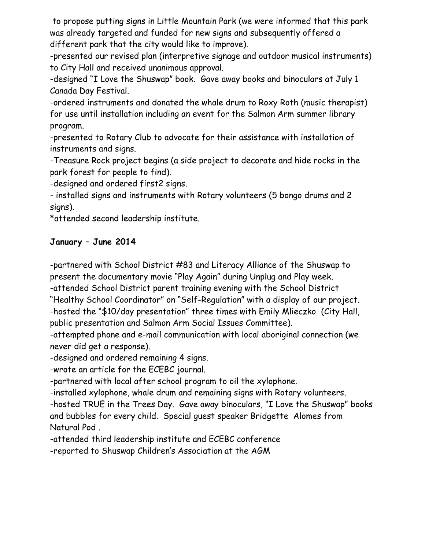to propose putting signs in Little Mountain Park (we were informed that this park was already targeted and funded for new signs and subsequently offered a different park that the city would like to improve).

-presented our revised plan (interpretive signage and outdoor musical instruments) to City Hall and received unanimous approval.

-designed "I Love the Shuswap" book. Gave away books and binoculars at July 1 Canada Day Festival.

-ordered instruments and donated the whale drum to Roxy Roth (music therapist) for use until installation including an event for the Salmon Arm summer library program.

-presented to Rotary Club to advocate for their assistance with installation of instruments and signs.

-Treasure Rock project begins (a side project to decorate and hide rocks in the park forest for people to find).

-designed and ordered first2 signs.

- installed signs and instruments with Rotary volunteers (5 bongo drums and 2 signs).

\*attended second leadership institute.

# **January – June 2014**

-partnered with School District #83 and Literacy Alliance of the Shuswap to present the documentary movie "Play Again" during Unplug and Play week. -attended School District parent training evening with the School District "Healthy School Coordinator" on "Self-Regulation" with a display of our project.

-hosted the "\$10/day presentation" three times with Emily Mlieczko (City Hall, public presentation and Salmon Arm Social Issues Committee).

-attempted phone and e-mail communication with local aboriginal connection (we never did get a response).

-designed and ordered remaining 4 signs.

-wrote an article for the ECEBC journal.

-partnered with local after school program to oil the xylophone.

-installed xylophone, whale drum and remaining signs with Rotary volunteers.

-hosted TRUE in the Trees Day. Gave away binoculars, "I Love the Shuswap" books and bubbles for every child. Special guest speaker Bridgette Alomes from Natural Pod .

-attended third leadership institute and ECEBC conference

-reported to Shuswap Children's Association at the AGM